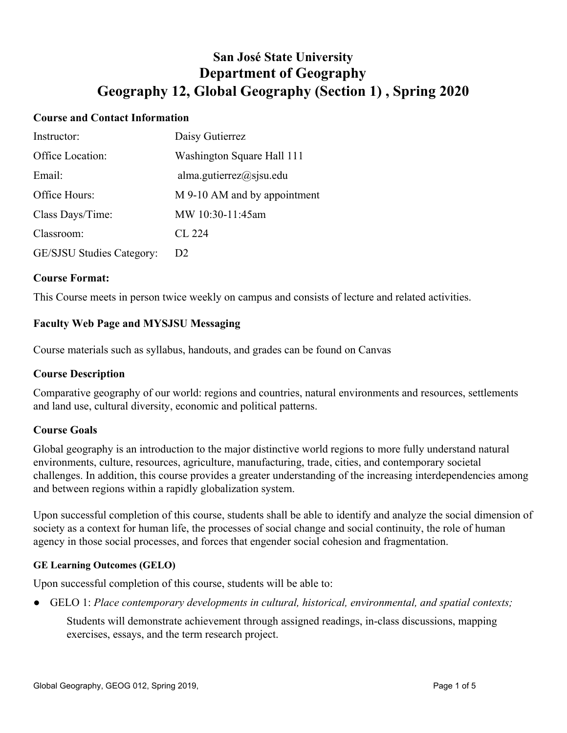# **San José State University Department of Geography Geography 12, Global Geography (Section 1) , Spring 2020**

### **Course and Contact Information**

| Instructor:               | Daisy Gutierrez              |
|---------------------------|------------------------------|
| Office Location:          | Washington Square Hall 111   |
| Email:                    | alma.gutierrez@sjsu.edu      |
| Office Hours:             | M 9-10 AM and by appointment |
| Class Days/Time:          | MW 10:30-11:45am             |
| Classroom:                | CL 224                       |
| GE/SJSU Studies Category: | D <sub>2</sub>               |

#### **Course Format:**

This Course meets in person twice weekly on campus and consists of lecture and related activities.

## **Faculty Web Page and MYSJSU Messaging**

Course materials such as syllabus, handouts, and grades can be found on Canvas

#### **Course Description**

Comparative geography of our world: regions and countries, natural environments and resources, settlements and land use, cultural diversity, economic and political patterns.

#### **Course Goals**

Global geography is an introduction to the major distinctive world regions to more fully understand natural environments, culture, resources, agriculture, manufacturing, trade, cities, and contemporary societal challenges. In addition, this course provides a greater understanding of the increasing interdependencies among and between regions within a rapidly globalization system.

Upon successful completion of this course, students shall be able to identify and analyze the social dimension of society as a context for human life, the processes of social change and social continuity, the role of human agency in those social processes, and forces that engender social cohesion and fragmentation.

#### **GE Learning Outcomes (GELO)**

Upon successful completion of this course, students will be able to:

● GELO 1: *Place contemporary developments in cultural, historical, environmental, and spatial contexts;*

Students will demonstrate achievement through assigned readings, in-class discussions, mapping exercises, essays, and the term research project.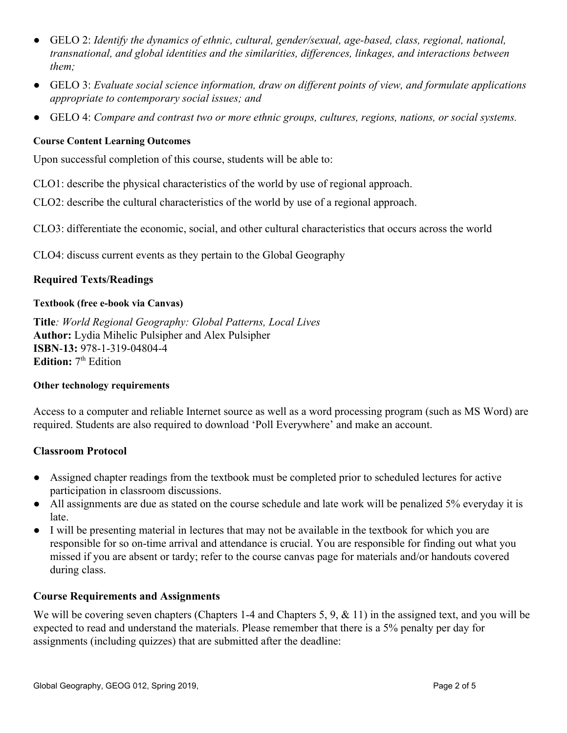- GELO 2: *Identify the dynamics of ethnic, cultural, gender/sexual, age-based, class, regional, national, transnational, and global identities and the similarities, differences, linkages, and interactions between them;*
- GELO 3: *Evaluate social science information, draw on different points of view, and formulate applications appropriate to contemporary social issues; and*
- GELO 4: *Compare and contrast two or more ethnic groups, cultures, regions, nations, or social systems.*

## **Course Content Learning Outcomes**

Upon successful completion of this course, students will be able to:

CLO1: describe the physical characteristics of the world by use of regional approach.

CLO2: describe the cultural characteristics of the world by use of a regional approach.

CLO3: differentiate the economic, social, and other cultural characteristics that occurs across the world

CLO4: discuss current events as they pertain to the Global Geography

## **Required Texts/Readings**

#### **Textbook (free e-book via Canvas)**

**Title***: World Regional Geography: Global Patterns, Local Lives* **Author:** Lydia Mihelic Pulsipher and Alex Pulsipher **ISBN**-**13:** 978-1-319-04804-4 Edition: 7<sup>th</sup> Edition

#### **Other technology requirements**

Access to a computer and reliable Internet source as well as a word processing program (such as MS Word) are required. Students are also required to download 'Poll Everywhere' and make an account.

#### **Classroom Protocol**

- Assigned chapter readings from the textbook must be completed prior to scheduled lectures for active participation in classroom discussions.
- All assignments are due as stated on the course schedule and late work will be penalized 5% everyday it is late.
- I will be presenting material in lectures that may not be available in the textbook for which you are responsible for so on-time arrival and attendance is crucial. You are responsible for finding out what you missed if you are absent or tardy; refer to the course canvas page for materials and/or handouts covered during class.

#### **Course Requirements and Assignments**

We will be covering seven chapters (Chapters 1-4 and Chapters 5, 9, & 11) in the assigned text, and you will be expected to read and understand the materials. Please remember that there is a 5% penalty per day for assignments (including quizzes) that are submitted after the deadline: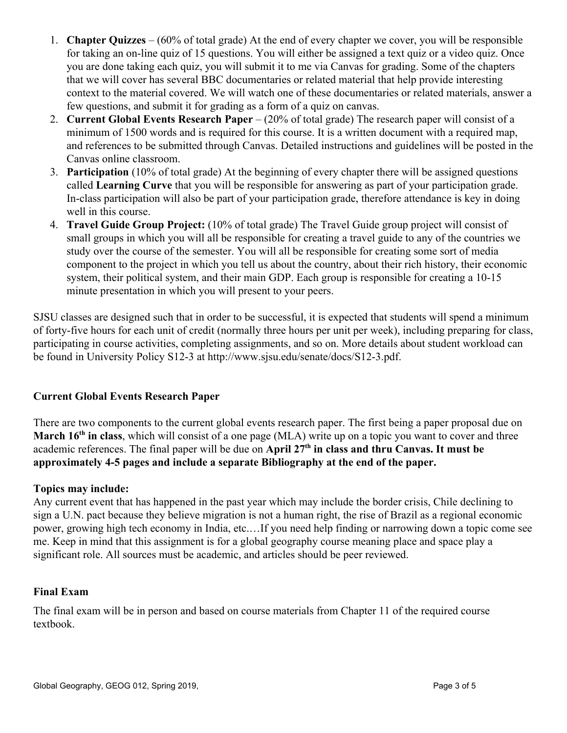- 1. **Chapter Quizzes** (60% of total grade) At the end of every chapter we cover, you will be responsible for taking an on-line quiz of 15 questions. You will either be assigned a text quiz or a video quiz. Once you are done taking each quiz, you will submit it to me via Canvas for grading. Some of the chapters that we will cover has several BBC documentaries or related material that help provide interesting context to the material covered. We will watch one of these documentaries or related materials, answer a few questions, and submit it for grading as a form of a quiz on canvas.
- 2. **Current Global Events Research Paper** (20% of total grade) The research paper will consist of a minimum of 1500 words and is required for this course. It is a written document with a required map, and references to be submitted through Canvas. Detailed instructions and guidelines will be posted in the Canvas online classroom.
- 3. **Participation** (10% of total grade) At the beginning of every chapter there will be assigned questions called **Learning Curve** that you will be responsible for answering as part of your participation grade. In-class participation will also be part of your participation grade, therefore attendance is key in doing well in this course.
- 4. **Travel Guide Group Project:** (10% of total grade) The Travel Guide group project will consist of small groups in which you will all be responsible for creating a travel guide to any of the countries we study over the course of the semester. You will all be responsible for creating some sort of media component to the project in which you tell us about the country, about their rich history, their economic system, their political system, and their main GDP. Each group is responsible for creating a 10-15 minute presentation in which you will present to your peers.

SJSU classes are designed such that in order to be successful, it is expected that students will spend a minimum of forty-five hours for each unit of credit (normally three hours per unit per week), including preparing for class, participating in course activities, completing assignments, and so on. More details about student workload can be found in University Policy S12-3 at http://www.sjsu.edu/senate/docs/S12-3.pdf.

## **Current Global Events Research Paper**

There are two components to the current global events research paper. The first being a paper proposal due on **March 16<sup>th</sup> in class**, which will consist of a one page (MLA) write up on a topic you want to cover and three academic references. The final paper will be due on **April 27th in class and thru Canvas. It must be approximately 4-5 pages and include a separate Bibliography at the end of the paper.**

#### **Topics may include:**

Any current event that has happened in the past year which may include the border crisis, Chile declining to sign a U.N. pact because they believe migration is not a human right, the rise of Brazil as a regional economic power, growing high tech economy in India, etc.…If you need help finding or narrowing down a topic come see me. Keep in mind that this assignment is for a global geography course meaning place and space play a significant role. All sources must be academic, and articles should be peer reviewed.

# **Final Exam**

The final exam will be in person and based on course materials from Chapter 11 of the required course textbook.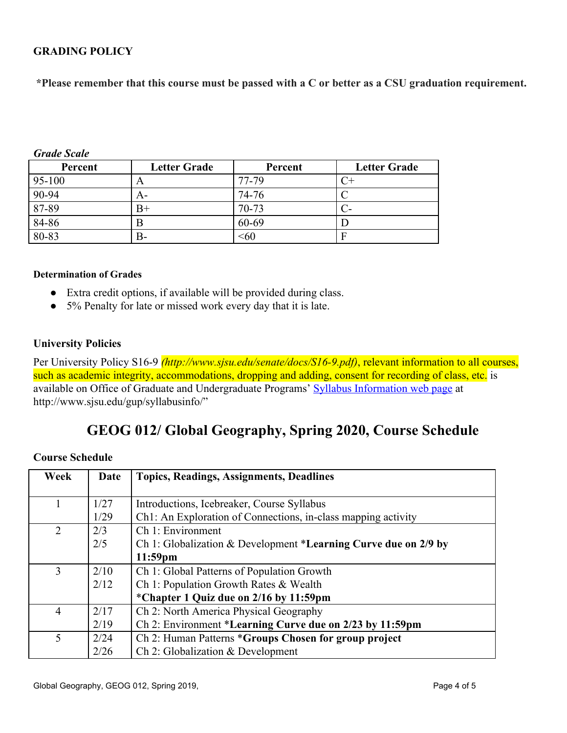# **GRADING POLICY**

 **\*Please remember that this course must be passed with a C or better as a CSU graduation requirement.**

| Percent   | <b>Letter Grade</b> | Percent | <b>Letter Grade</b> |
|-----------|---------------------|---------|---------------------|
| 95-100    | A                   | 77-79   |                     |
| 90-94     | A-                  | 74-76   |                     |
| 87-89     | $B+$                | 70-73   |                     |
| 84-86     | Β                   | 60-69   |                     |
| $80 - 83$ | В-                  | <60     | F                   |

#### *Grade Scale*

#### **Determination of Grades**

- Extra credit options, if available will be provided during class.
- 5% Penalty for late or missed work every day that it is late.

#### **University Policies**

Per University Policy S16-9 *(http://www.sjsu.edu/senate/docs/S16-9.pdf)*, relevant information to all courses, such as academic integrity, accommodations, dropping and adding, consent for recording of class, etc. is available on Office of Graduate and Undergraduate Programs' [Syllabus Information web page](http://www.sjsu.edu/gup/syllabusinfo/) at http://www.sjsu.edu/gup/syllabusinfo/"

# **GEOG 012/ Global Geography, Spring 2020, Course Schedule**

#### **Course Schedule**

| Week           | Date | <b>Topics, Readings, Assignments, Deadlines</b>                 |
|----------------|------|-----------------------------------------------------------------|
|                |      |                                                                 |
|                | 1/27 | Introductions, Icebreaker, Course Syllabus                      |
|                | 1/29 | Ch1: An Exploration of Connections, in-class mapping activity   |
| $\overline{2}$ | 2/3  | Ch 1: Environment                                               |
|                | 2/5  | Ch 1: Globalization & Development *Learning Curve due on 2/9 by |
|                |      | $11:59$ pm                                                      |
| 3              | 2/10 | Ch 1: Global Patterns of Population Growth                      |
|                | 2/12 | Ch 1: Population Growth Rates & Wealth                          |
|                |      | *Chapter 1 Quiz due on 2/16 by 11:59pm                          |
| $\overline{4}$ | 2/17 | Ch 2: North America Physical Geography                          |
|                | 2/19 | Ch 2: Environment *Learning Curve due on 2/23 by 11:59pm        |
| 5              | 2/24 | Ch 2: Human Patterns *Groups Chosen for group project           |
|                | 2/26 | Ch 2: Globalization & Development                               |